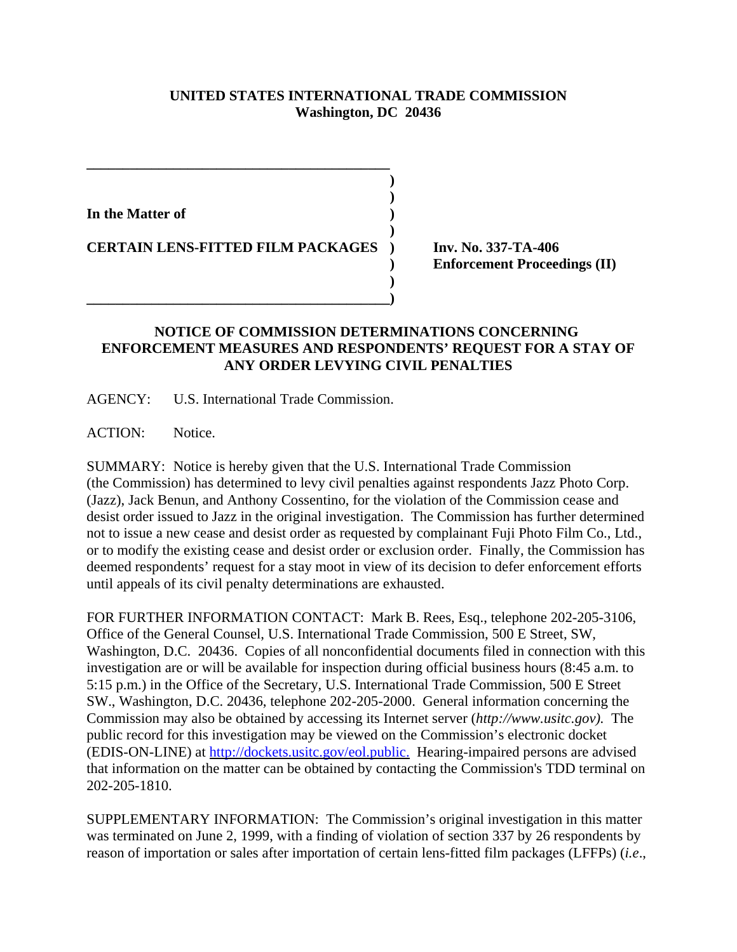## **UNITED STATES INTERNATIONAL TRADE COMMISSION Washington, DC 20436**

**) )**

**)**

**)** 

**In the Matter of )**

**CERTAIN LENS-FITTED FILM PACKAGES ) Inv. No. 337-TA-406**

**\_\_\_\_\_\_\_\_\_\_\_\_\_\_\_\_\_\_\_\_\_\_\_\_\_\_\_\_\_\_\_\_\_\_\_\_\_\_\_\_\_\_)**

**\_\_\_\_\_\_\_\_\_\_\_\_\_\_\_\_\_\_\_\_\_\_\_\_\_\_\_\_\_\_\_\_\_\_\_\_\_\_\_\_\_\_**

**) Enforcement Proceedings (II)**

## **NOTICE OF COMMISSION DETERMINATIONS CONCERNING ENFORCEMENT MEASURES AND RESPONDENTS' REQUEST FOR A STAY OF ANY ORDER LEVYING CIVIL PENALTIES**

AGENCY: U.S. International Trade Commission.

ACTION: Notice.

SUMMARY: Notice is hereby given that the U.S. International Trade Commission (the Commission) has determined to levy civil penalties against respondents Jazz Photo Corp. (Jazz), Jack Benun, and Anthony Cossentino, for the violation of the Commission cease and desist order issued to Jazz in the original investigation. The Commission has further determined not to issue a new cease and desist order as requested by complainant Fuji Photo Film Co., Ltd., or to modify the existing cease and desist order or exclusion order. Finally, the Commission has deemed respondents' request for a stay moot in view of its decision to defer enforcement efforts until appeals of its civil penalty determinations are exhausted.

FOR FURTHER INFORMATION CONTACT: Mark B. Rees, Esq., telephone 202-205-3106, Office of the General Counsel, U.S. International Trade Commission, 500 E Street, SW, Washington, D.C. 20436. Copies of all nonconfidential documents filed in connection with this investigation are or will be available for inspection during official business hours (8:45 a.m. to 5:15 p.m.) in the Office of the Secretary, U.S. International Trade Commission, 500 E Street SW., Washington, D.C. 20436, telephone 202-205-2000. General information concerning the Commission may also be obtained by accessing its Internet server (*http://www.usitc.gov).* The public record for this investigation may be viewed on the Commission's electronic docket (EDIS-ON-LINE) at http://dockets.usitc.gov/eol.public. Hearing-impaired persons are advised that information on the matter can be obtained by contacting the Commission's TDD terminal on 202-205-1810.

SUPPLEMENTARY INFORMATION: The Commission's original investigation in this matter was terminated on June 2, 1999, with a finding of violation of section 337 by 26 respondents by reason of importation or sales after importation of certain lens-fitted film packages (LFFPs) (*i.e*.,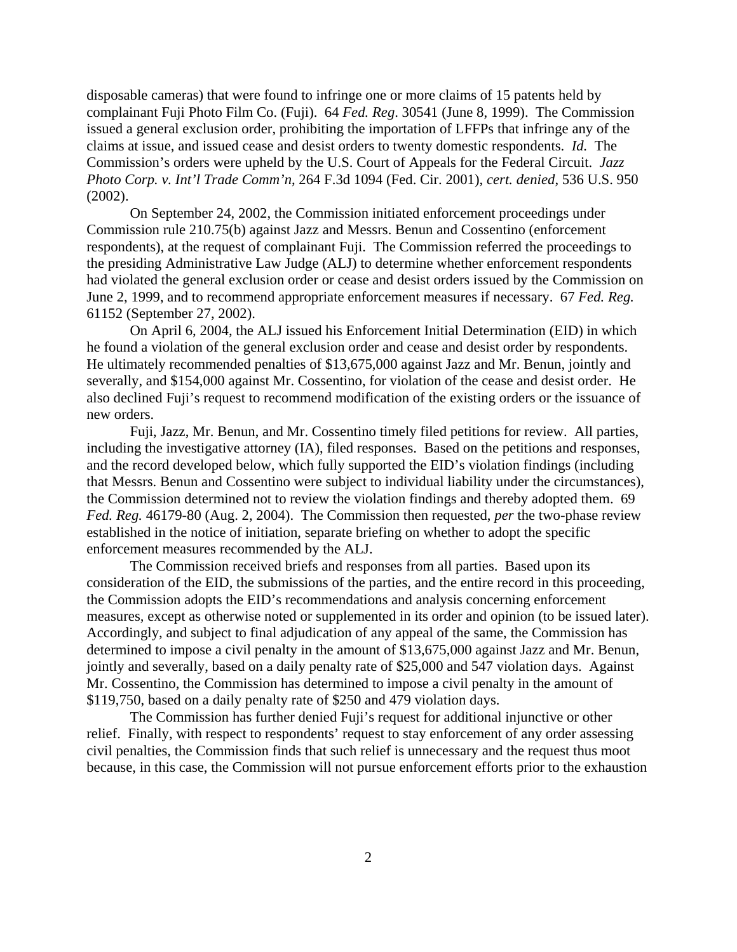disposable cameras) that were found to infringe one or more claims of 15 patents held by complainant Fuji Photo Film Co. (Fuji). 64 *Fed. Reg*. 30541 (June 8, 1999). The Commission issued a general exclusion order, prohibiting the importation of LFFPs that infringe any of the claims at issue, and issued cease and desist orders to twenty domestic respondents. *Id.* The Commission's orders were upheld by the U.S. Court of Appeals for the Federal Circuit. *Jazz Photo Corp. v. Int'l Trade Comm'n*, 264 F.3d 1094 (Fed. Cir. 2001), *cert. denied*, 536 U.S. 950 (2002).

On September 24, 2002, the Commission initiated enforcement proceedings under Commission rule 210.75(b) against Jazz and Messrs. Benun and Cossentino (enforcement respondents), at the request of complainant Fuji. The Commission referred the proceedings to the presiding Administrative Law Judge (ALJ) to determine whether enforcement respondents had violated the general exclusion order or cease and desist orders issued by the Commission on June 2, 1999, and to recommend appropriate enforcement measures if necessary. 67 *Fed. Reg.* 61152 (September 27, 2002).

On April 6, 2004, the ALJ issued his Enforcement Initial Determination (EID) in which he found a violation of the general exclusion order and cease and desist order by respondents. He ultimately recommended penalties of \$13,675,000 against Jazz and Mr. Benun, jointly and severally, and \$154,000 against Mr. Cossentino, for violation of the cease and desist order. He also declined Fuji's request to recommend modification of the existing orders or the issuance of new orders.

Fuji, Jazz, Mr. Benun, and Mr. Cossentino timely filed petitions for review. All parties, including the investigative attorney (IA), filed responses. Based on the petitions and responses, and the record developed below, which fully supported the EID's violation findings (including that Messrs. Benun and Cossentino were subject to individual liability under the circumstances), the Commission determined not to review the violation findings and thereby adopted them. 69 *Fed. Reg.* 46179-80 (Aug. 2, 2004). The Commission then requested, *per* the two-phase review established in the notice of initiation, separate briefing on whether to adopt the specific enforcement measures recommended by the ALJ.

The Commission received briefs and responses from all parties. Based upon its consideration of the EID, the submissions of the parties, and the entire record in this proceeding, the Commission adopts the EID's recommendations and analysis concerning enforcement measures*,* except as otherwise noted or supplemented in its order and opinion (to be issued later). Accordingly, and subject to final adjudication of any appeal of the same, the Commission has determined to impose a civil penalty in the amount of \$13,675,000 against Jazz and Mr. Benun, jointly and severally, based on a daily penalty rate of \$25,000 and 547 violation days. Against Mr. Cossentino, the Commission has determined to impose a civil penalty in the amount of \$119,750, based on a daily penalty rate of \$250 and 479 violation days.

The Commission has further denied Fuji's request for additional injunctive or other relief. Finally, with respect to respondents' request to stay enforcement of any order assessing civil penalties, the Commission finds that such relief is unnecessary and the request thus moot because, in this case, the Commission will not pursue enforcement efforts prior to the exhaustion